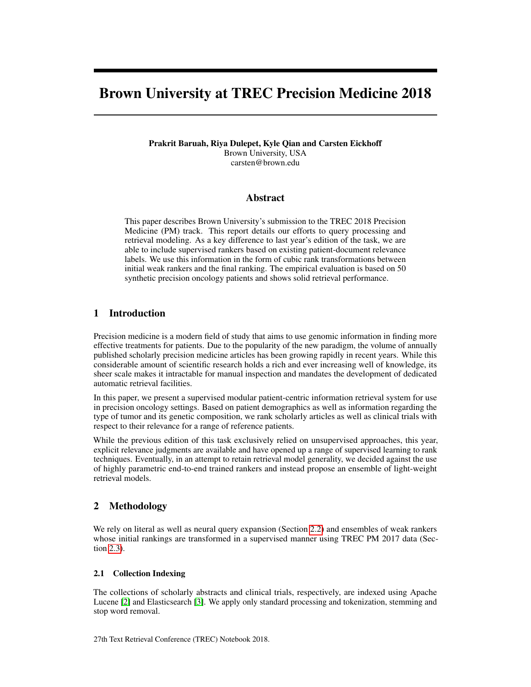# Brown University at TREC Precision Medicine 2018

Prakrit Baruah, Riya Dulepet, Kyle Qian and Carsten Eickhoff Brown University, USA carsten@brown.edu

## Abstract

This paper describes Brown University's submission to the TREC 2018 Precision Medicine (PM) track. This report details our efforts to query processing and retrieval modeling. As a key difference to last year's edition of the task, we are able to include supervised rankers based on existing patient-document relevance labels. We use this information in the form of cubic rank transformations between initial weak rankers and the final ranking. The empirical evaluation is based on 50 synthetic precision oncology patients and shows solid retrieval performance.

# 1 Introduction

Precision medicine is a modern field of study that aims to use genomic information in finding more effective treatments for patients. Due to the popularity of the new paradigm, the volume of annually published scholarly precision medicine articles has been growing rapidly in recent years. While this considerable amount of scientific research holds a rich and ever increasing well of knowledge, its sheer scale makes it intractable for manual inspection and mandates the development of dedicated automatic retrieval facilities.

In this paper, we present a supervised modular patient-centric information retrieval system for use in precision oncology settings. Based on patient demographics as well as information regarding the type of tumor and its genetic composition, we rank scholarly articles as well as clinical trials with respect to their relevance for a range of reference patients.

While the previous edition of this task exclusively relied on unsupervised approaches, this year, explicit relevance judgments are available and have opened up a range of supervised learning to rank techniques. Eventually, in an attempt to retain retrieval model generality, we decided against the use of highly parametric end-to-end trained rankers and instead propose an ensemble of light-weight retrieval models.

# 2 Methodology

We rely on literal as well as neural query expansion (Section [2.2\)](#page-1-0) and ensembles of weak rankers whose initial rankings are transformed in a supervised manner using TREC PM 2017 data (Section [2.3\)](#page-1-1).

## 2.1 Collection Indexing

The collections of scholarly abstracts and clinical trials, respectively, are indexed using Apache Lucene [\[2\]](#page-2-0) and Elasticsearch [\[3\]](#page-2-1). We apply only standard processing and tokenization, stemming and stop word removal.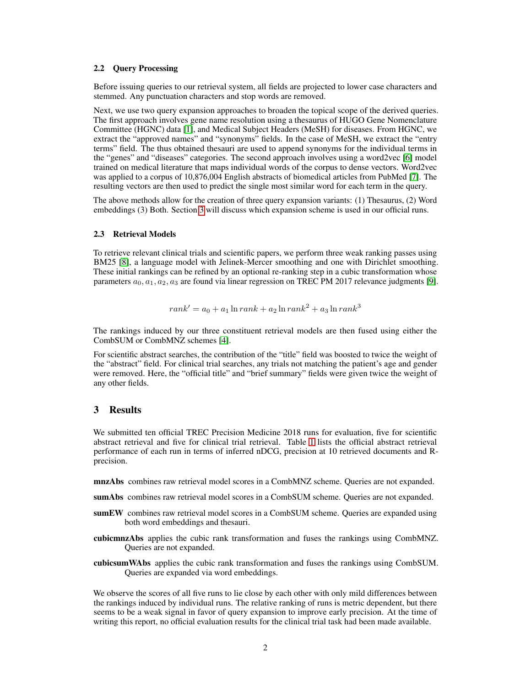#### <span id="page-1-0"></span>2.2 Query Processing

Before issuing queries to our retrieval system, all fields are projected to lower case characters and stemmed. Any punctuation characters and stop words are removed.

Next, we use two query expansion approaches to broaden the topical scope of the derived queries. The first approach involves gene name resolution using a thesaurus of HUGO Gene Nomenclature Committee (HGNC) data [\[1\]](#page-2-2), and Medical Subject Headers (MeSH) for diseases. From HGNC, we extract the "approved names" and "synonyms" fields. In the case of MeSH, we extract the "entry terms" field. The thus obtained thesauri are used to append synonyms for the individual terms in the "genes" and "diseases" categories. The second approach involves using a word2vec [\[6\]](#page-2-3) model trained on medical literature that maps individual words of the corpus to dense vectors. Word2vec was applied to a corpus of 10,876,004 English abstracts of biomedical articles from PubMed [\[7\]](#page-2-4). The resulting vectors are then used to predict the single most similar word for each term in the query.

The above methods allow for the creation of three query expansion variants: (1) Thesaurus, (2) Word embeddings (3) Both. Section [3](#page-1-2) will discuss which expansion scheme is used in our official runs.

#### <span id="page-1-1"></span>2.3 Retrieval Models

To retrieve relevant clinical trials and scientific papers, we perform three weak ranking passes using BM25 [\[8\]](#page-2-5), a language model with Jelinek-Mercer smoothing and one with Dirichlet smoothing. These initial rankings can be refined by an optional re-ranking step in a cubic transformation whose parameters  $a_0, a_1, a_2, a_3$  are found via linear regression on TREC PM 2017 relevance judgments [\[9\]](#page-2-6).

$$
rank' = a_0 + a_1 \ln rank + a_2 \ln rank^2 + a_3 \ln rank^3
$$

The rankings induced by our three constituent retrieval models are then fused using either the CombSUM or CombMNZ schemes [\[4\]](#page-2-7).

For scientific abstract searches, the contribution of the "title" field was boosted to twice the weight of the "abstract" field. For clinical trial searches, any trials not matching the patient's age and gender were removed. Here, the "official title" and "brief summary" fields were given twice the weight of any other fields.

## <span id="page-1-2"></span>3 Results

We submitted ten official TREC Precision Medicine 2018 runs for evaluation, five for scientific abstract retrieval and five for clinical trial retrieval. Table [1](#page-2-8) lists the official abstract retrieval performance of each run in terms of inferred nDCG, precision at 10 retrieved documents and Rprecision.

mnzAbs combines raw retrieval model scores in a CombMNZ scheme. Queries are not expanded.

- sumAbs combines raw retrieval model scores in a CombSUM scheme. Queries are not expanded.
- sumEW combines raw retrieval model scores in a CombSUM scheme. Queries are expanded using both word embeddings and thesauri.
- cubicmnzAbs applies the cubic rank transformation and fuses the rankings using CombMNZ. Queries are not expanded.
- cubicsumWAbs applies the cubic rank transformation and fuses the rankings using CombSUM. Queries are expanded via word embeddings.

We observe the scores of all five runs to lie close by each other with only mild differences between the rankings induced by individual runs. The relative ranking of runs is metric dependent, but there seems to be a weak signal in favor of query expansion to improve early precision. At the time of writing this report, no official evaluation results for the clinical trial task had been made available.